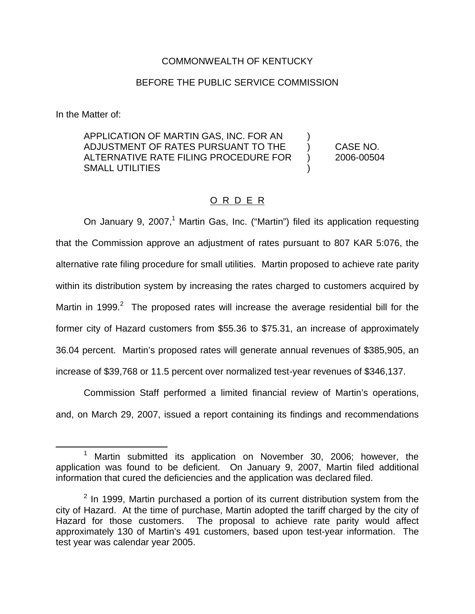### COMMONWEALTH OF KENTUCKY

### BEFORE THE PUBLIC SERVICE COMMISSION

In the Matter of:

APPLICATION OF MARTIN GAS, INC. FOR AN ) ADJUSTMENT OF RATES PURSUANT TO THE ) CASE NO. ALTERNATIVE RATE FILING PROCEDURE FOR ) 2006-00504 SMALL UTILITIES )

## O R D E R

On January 9, 2007,<sup>1</sup> Martin Gas, Inc. ("Martin") filed its application requesting that the Commission approve an adjustment of rates pursuant to 807 KAR 5:076, the alternative rate filing procedure for small utilities. Martin proposed to achieve rate parity within its distribution system by increasing the rates charged to customers acquired by Martin in 1999. $2$  The proposed rates will increase the average residential bill for the former city of Hazard customers from \$55.36 to \$75.31, an increase of approximately 36.04 percent. Martin's proposed rates will generate annual revenues of \$385,905, an increase of \$39,768 or 11.5 percent over normalized test-year revenues of \$346,137.

Commission Staff performed a limited financial review of Martin's operations, and, on March 29, 2007, issued a report containing its findings and recommendations

<sup>&</sup>lt;sup>1</sup> Martin submitted its application on November 30, 2006; however, the application was found to be deficient. On January 9, 2007, Martin filed additional information that cured the deficiencies and the application was declared filed.

 $2$  In 1999, Martin purchased a portion of its current distribution system from the city of Hazard. At the time of purchase, Martin adopted the tariff charged by the city of Hazard for those customers. The proposal to achieve rate parity would affect approximately 130 of Martin's 491 customers, based upon test-year information. The test year was calendar year 2005.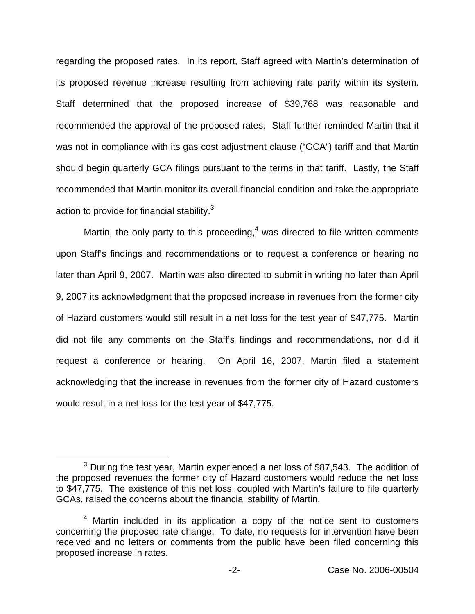regarding the proposed rates. In its report, Staff agreed with Martin's determination of its proposed revenue increase resulting from achieving rate parity within its system. Staff determined that the proposed increase of \$39,768 was reasonable and recommended the approval of the proposed rates. Staff further reminded Martin that it was not in compliance with its gas cost adjustment clause ("GCA") tariff and that Martin should begin quarterly GCA filings pursuant to the terms in that tariff. Lastly, the Staff recommended that Martin monitor its overall financial condition and take the appropriate action to provide for financial stability.<sup>3</sup>

Martin, the only party to this proceeding,<sup>4</sup> was directed to file written comments upon Staff's findings and recommendations or to request a conference or hearing no later than April 9, 2007. Martin was also directed to submit in writing no later than April 9, 2007 its acknowledgment that the proposed increase in revenues from the former city of Hazard customers would still result in a net loss for the test year of \$47,775. Martin did not file any comments on the Staff's findings and recommendations, nor did it request a conference or hearing. On April 16, 2007, Martin filed a statement acknowledging that the increase in revenues from the former city of Hazard customers would result in a net loss for the test year of \$47,775.

 $3$  During the test year, Martin experienced a net loss of \$87,543. The addition of the proposed revenues the former city of Hazard customers would reduce the net loss to \$47,775. The existence of this net loss, coupled with Martin's failure to file quarterly GCAs, raised the concerns about the financial stability of Martin.

 $4$  Martin included in its application a copy of the notice sent to customers concerning the proposed rate change. To date, no requests for intervention have been received and no letters or comments from the public have been filed concerning this proposed increase in rates.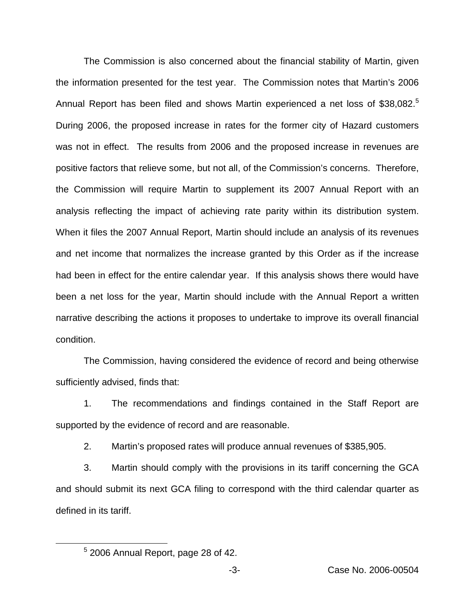The Commission is also concerned about the financial stability of Martin, given the information presented for the test year. The Commission notes that Martin's 2006 Annual Report has been filed and shows Martin experienced a net loss of \$38,082.<sup>5</sup> During 2006, the proposed increase in rates for the former city of Hazard customers was not in effect. The results from 2006 and the proposed increase in revenues are positive factors that relieve some, but not all, of the Commission's concerns. Therefore, the Commission will require Martin to supplement its 2007 Annual Report with an analysis reflecting the impact of achieving rate parity within its distribution system. When it files the 2007 Annual Report, Martin should include an analysis of its revenues and net income that normalizes the increase granted by this Order as if the increase had been in effect for the entire calendar year. If this analysis shows there would have been a net loss for the year, Martin should include with the Annual Report a written narrative describing the actions it proposes to undertake to improve its overall financial condition.

The Commission, having considered the evidence of record and being otherwise sufficiently advised, finds that:

1. The recommendations and findings contained in the Staff Report are supported by the evidence of record and are reasonable.

2. Martin's proposed rates will produce annual revenues of \$385,905.

3. Martin should comply with the provisions in its tariff concerning the GCA and should submit its next GCA filing to correspond with the third calendar quarter as defined in its tariff.

<sup>5</sup> 2006 Annual Report, page 28 of 42.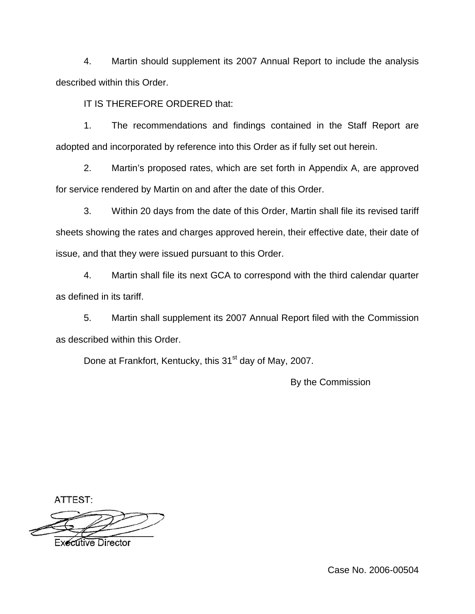4. Martin should supplement its 2007 Annual Report to include the analysis described within this Order.

IT IS THEREFORE ORDERED that:

1. The recommendations and findings contained in the Staff Report are adopted and incorporated by reference into this Order as if fully set out herein.

2. Martin's proposed rates, which are set forth in Appendix A, are approved for service rendered by Martin on and after the date of this Order.

3. Within 20 days from the date of this Order, Martin shall file its revised tariff sheets showing the rates and charges approved herein, their effective date, their date of issue, and that they were issued pursuant to this Order.

4. Martin shall file its next GCA to correspond with the third calendar quarter as defined in its tariff.

5. Martin shall supplement its 2007 Annual Report filed with the Commission as described within this Order.

Done at Frankfort, Kentucky, this 31<sup>st</sup> day of May, 2007.

By the Commission

ATTEST:



**Executive Director**